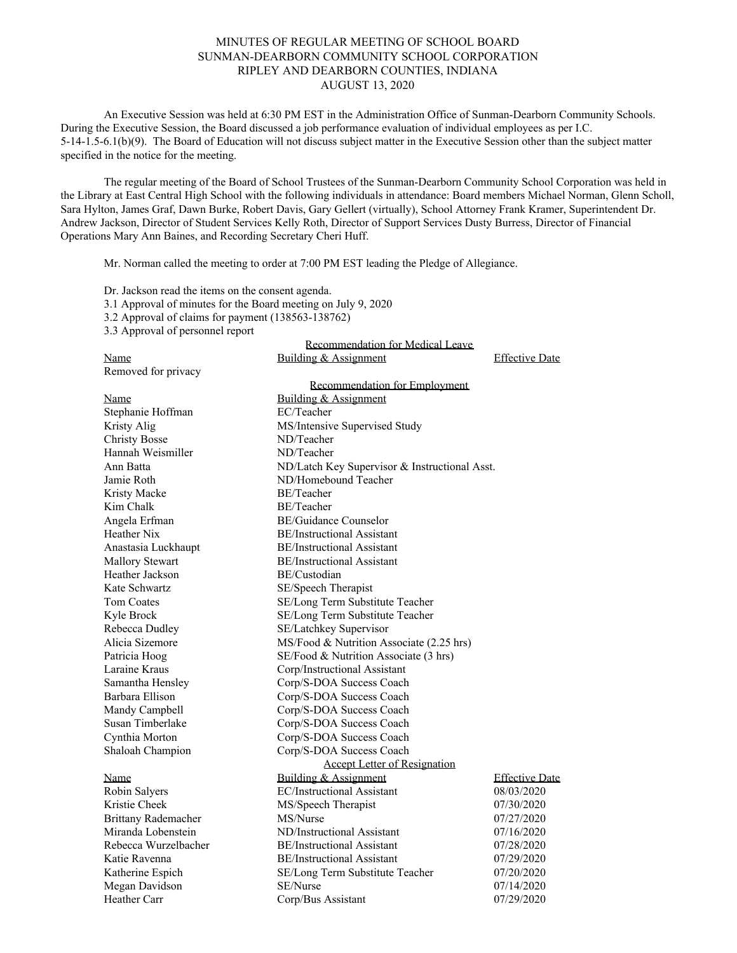## MINUTES OF REGULAR MEETING OF SCHOOL BOARD SUNMAN-DEARBORN COMMUNITY SCHOOL CORPORATION RIPLEY AND DEARBORN COUNTIES, INDIANA AUGUST 13, 2020

An Executive Session was held at 6:30 PM EST in the Administration Office of Sunman-Dearborn Community Schools. During the Executive Session, the Board discussed a job performance evaluation of individual employees as per I.C. 5-14-1.5-6.1(b)(9). The Board of Education will not discuss subject matter in the Executive Session other than the subject matter specified in the notice for the meeting.

The regular meeting of the Board of School Trustees of the Sunman-Dearborn Community School Corporation was held in the Library at East Central High School with the following individuals in attendance: Board members Michael Norman, Glenn Scholl, Sara Hylton, James Graf, Dawn Burke, Robert Davis, Gary Gellert (virtually), School Attorney Frank Kramer, Superintendent Dr. Andrew Jackson, Director of Student Services Kelly Roth, Director of Support Services Dusty Burress, Director of Financial Operations Mary Ann Baines, and Recording Secretary Cheri Huff.

Recommendation for Medical Leave

Mr. Norman called the meeting to order at 7:00 PM EST leading the Pledge of Allegiance.

Dr. Jackson read the items on the consent agenda.

3.1 Approval of minutes for the Board meeting on July 9, 2020

3.2 Approval of claims for payment (138563-138762)

3.3 Approval of personnel report

|                            | <u>RECOMMIENTATION IOI METHOL LEAVE</u>       |                       |
|----------------------------|-----------------------------------------------|-----------------------|
| Name                       | Building & Assignment                         | <b>Effective Date</b> |
| Removed for privacy        |                                               |                       |
|                            | Recommendation for Employment                 |                       |
| Name                       | Building & Assignment                         |                       |
| Stephanie Hoffman          | EC/Teacher                                    |                       |
| Kristy Alig                | MS/Intensive Supervised Study                 |                       |
| <b>Christy Bosse</b>       | ND/Teacher                                    |                       |
| Hannah Weismiller          | ND/Teacher                                    |                       |
| Ann Batta                  | ND/Latch Key Supervisor & Instructional Asst. |                       |
| Jamie Roth                 | ND/Homebound Teacher                          |                       |
| Kristy Macke               | BE/Teacher                                    |                       |
| Kim Chalk                  | BE/Teacher                                    |                       |
| Angela Erfman              | <b>BE/Guidance Counselor</b>                  |                       |
| Heather Nix                | <b>BE/Instructional Assistant</b>             |                       |
| Anastasia Luckhaupt        | <b>BE/Instructional Assistant</b>             |                       |
| <b>Mallory Stewart</b>     | <b>BE/Instructional Assistant</b>             |                       |
| Heather Jackson            | BE/Custodian                                  |                       |
| Kate Schwartz              | SE/Speech Therapist                           |                       |
| Tom Coates                 | SE/Long Term Substitute Teacher               |                       |
| Kyle Brock                 | SE/Long Term Substitute Teacher               |                       |
| Rebecca Dudley             | SE/Latchkey Supervisor                        |                       |
| Alicia Sizemore            | MS/Food & Nutrition Associate (2.25 hrs)      |                       |
| Patricia Hoog              | SE/Food & Nutrition Associate (3 hrs)         |                       |
| Laraine Kraus              | Corp/Instructional Assistant                  |                       |
| Samantha Hensley           | Corp/S-DOA Success Coach                      |                       |
| Barbara Ellison            | Corp/S-DOA Success Coach                      |                       |
| Mandy Campbell             | Corp/S-DOA Success Coach                      |                       |
| Susan Timberlake           | Corp/S-DOA Success Coach                      |                       |
| Cynthia Morton             | Corp/S-DOA Success Coach                      |                       |
| Shaloah Champion           | Corp/S-DOA Success Coach                      |                       |
|                            | <b>Accept Letter of Resignation</b>           |                       |
| Name                       | Building & Assignment                         | <b>Effective Date</b> |
| Robin Salyers              | <b>EC/Instructional Assistant</b>             | 08/03/2020            |
| Kristie Cheek              | MS/Speech Therapist                           | 07/30/2020            |
| <b>Brittany Rademacher</b> | MS/Nurse                                      | 07/27/2020            |
| Miranda Lobenstein         | ND/Instructional Assistant                    | 07/16/2020            |
| Rebecca Wurzelbacher       | <b>BE/Instructional Assistant</b>             | 07/28/2020            |
| Katie Ravenna              | <b>BE/Instructional Assistant</b>             | 07/29/2020            |
| Katherine Espich           | SE/Long Term Substitute Teacher               | 07/20/2020            |
| Megan Davidson             | SE/Nurse                                      | 07/14/2020            |
| Heather Carr               | Corp/Bus Assistant                            | 07/29/2020            |
|                            |                                               |                       |